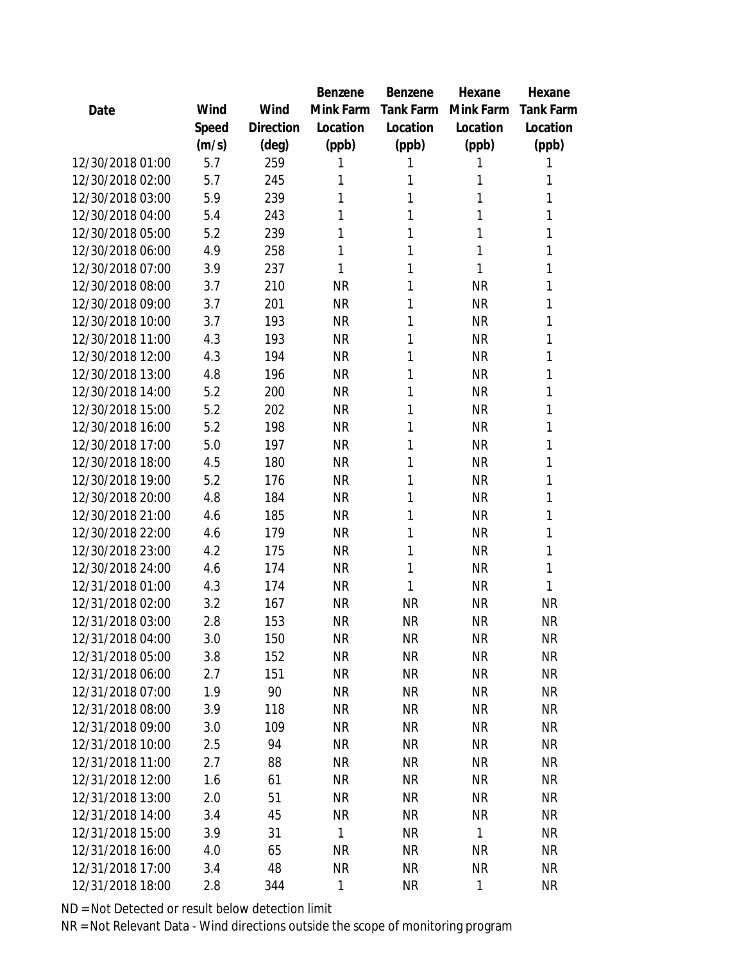|                  |       |                | Benzene   | Benzene   | Hexane    | Hexane           |
|------------------|-------|----------------|-----------|-----------|-----------|------------------|
| Date             | Wind  | Wind           | Mink Farm | Tank Farm | Mink Farm | <b>Tank Farm</b> |
|                  | Speed | Direction      | Location  | Location  | Location  | Location         |
|                  | (m/s) | $(\text{deg})$ | (ppb)     | (ppb)     | (ppb)     | (ppb)            |
| 12/30/2018 01:00 | 5.7   | 259            | 1         | 1         | 1         | 1                |
| 12/30/2018 02:00 | 5.7   | 245            | 1         | 1         | 1         | 1                |
| 12/30/2018 03:00 | 5.9   | 239            | 1         | 1         | 1         | 1                |
| 12/30/2018 04:00 | 5.4   | 243            | 1         | 1         | 1         | 1                |
| 12/30/2018 05:00 | 5.2   | 239            | 1         | 1         | 1         | 1                |
| 12/30/2018 06:00 | 4.9   | 258            | 1         | 1         | 1         | 1                |
| 12/30/2018 07:00 | 3.9   | 237            | 1         | 1         | 1         | 1                |
| 12/30/2018 08:00 | 3.7   | 210            | <b>NR</b> | 1         | <b>NR</b> | 1                |
| 12/30/2018 09:00 | 3.7   | 201            | <b>NR</b> | 1         | <b>NR</b> | 1                |
| 12/30/2018 10:00 | 3.7   | 193            | <b>NR</b> | 1         | <b>NR</b> | 1                |
| 12/30/2018 11:00 | 4.3   | 193            | <b>NR</b> | 1         | <b>NR</b> | 1                |
| 12/30/2018 12:00 | 4.3   | 194            | <b>NR</b> | 1         | <b>NR</b> | 1                |
| 12/30/2018 13:00 | 4.8   | 196            | <b>NR</b> | 1         | <b>NR</b> | 1                |
| 12/30/2018 14:00 | 5.2   | 200            | <b>NR</b> | 1         | <b>NR</b> | 1                |
| 12/30/2018 15:00 | 5.2   | 202            | <b>NR</b> | 1         | <b>NR</b> | 1                |
| 12/30/2018 16:00 | 5.2   | 198            | <b>NR</b> | 1         | <b>NR</b> | 1                |
| 12/30/2018 17:00 | 5.0   | 197            | <b>NR</b> | 1         | <b>NR</b> | 1                |
| 12/30/2018 18:00 | 4.5   | 180            | <b>NR</b> | 1         | <b>NR</b> | 1                |
| 12/30/2018 19:00 | 5.2   | 176            | <b>NR</b> | 1         | <b>NR</b> | 1                |
| 12/30/2018 20:00 | 4.8   | 184            | <b>NR</b> | 1         | <b>NR</b> | 1                |
| 12/30/2018 21:00 | 4.6   | 185            | <b>NR</b> | 1         | <b>NR</b> | 1                |
| 12/30/2018 22:00 | 4.6   | 179            | <b>NR</b> | 1         | <b>NR</b> | 1                |
| 12/30/2018 23:00 | 4.2   | 175            | <b>NR</b> | 1         | <b>NR</b> | 1                |
| 12/30/2018 24:00 | 4.6   | 174            | <b>NR</b> | 1         | <b>NR</b> | 1                |
| 12/31/2018 01:00 | 4.3   | 174            | <b>NR</b> | 1         | <b>NR</b> | 1                |
| 12/31/2018 02:00 | 3.2   | 167            | <b>NR</b> | <b>NR</b> | <b>NR</b> | <b>NR</b>        |
| 12/31/2018 03:00 | 2.8   | 153            | <b>NR</b> | <b>NR</b> | <b>NR</b> | <b>NR</b>        |
| 12/31/2018 04:00 | 3.0   | 150            | <b>NR</b> | NR        | <b>NR</b> | NR               |
| 12/31/2018 05:00 | 3.8   | 152            | <b>NR</b> | <b>NR</b> | <b>NR</b> | <b>NR</b>        |
| 12/31/2018 06:00 | 2.7   | 151            | <b>NR</b> | <b>NR</b> | <b>NR</b> | <b>NR</b>        |
| 12/31/2018 07:00 | 1.9   | 90             | <b>NR</b> | <b>NR</b> | <b>NR</b> | <b>NR</b>        |
| 12/31/2018 08:00 | 3.9   | 118            | <b>NR</b> | <b>NR</b> | <b>NR</b> | <b>NR</b>        |
| 12/31/2018 09:00 | 3.0   | 109            | <b>NR</b> | <b>NR</b> | <b>NR</b> | <b>NR</b>        |
| 12/31/2018 10:00 | 2.5   | 94             | <b>NR</b> | <b>NR</b> | <b>NR</b> | <b>NR</b>        |
| 12/31/2018 11:00 | 2.7   | 88             | NR.       | <b>NR</b> | <b>NR</b> | <b>NR</b>        |
| 12/31/2018 12:00 | 1.6   | 61             | <b>NR</b> | <b>NR</b> | <b>NR</b> | <b>NR</b>        |
| 12/31/2018 13:00 | 2.0   | 51             | <b>NR</b> | <b>NR</b> | <b>NR</b> | <b>NR</b>        |
| 12/31/2018 14:00 | 3.4   | 45             | <b>NR</b> | <b>NR</b> | <b>NR</b> | <b>NR</b>        |
| 12/31/2018 15:00 | 3.9   | 31             | 1         | <b>NR</b> | 1         | <b>NR</b>        |
| 12/31/2018 16:00 | 4.0   | 65             | <b>NR</b> | <b>NR</b> | <b>NR</b> | <b>NR</b>        |
| 12/31/2018 17:00 | 3.4   | 48             | <b>NR</b> | <b>NR</b> | <b>NR</b> | <b>NR</b>        |
| 12/31/2018 18:00 | 2.8   | 344            | 1         | <b>NR</b> | 1         | <b>NR</b>        |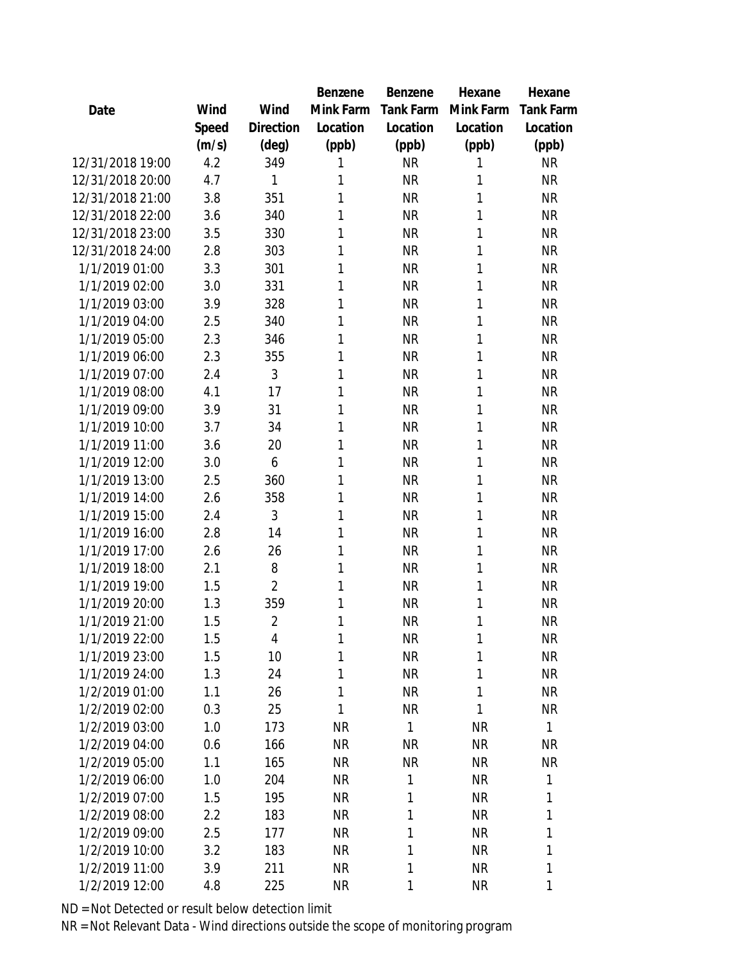|                  |       |                | <b>Benzene</b> | Benzene      | Hexane    | Hexane       |
|------------------|-------|----------------|----------------|--------------|-----------|--------------|
| Date             | Wind  | Wind           | Mink Farm      | Tank Farm    | Mink Farm | Tank Farm    |
|                  | Speed | Direction      | Location       | Location     | Location  | Location     |
|                  | (m/s) | (deg)          | (ppb)          | (ppb)        | (ppb)     | (ppb)        |
| 12/31/2018 19:00 | 4.2   | 349            | 1              | <b>NR</b>    | 1         | <b>NR</b>    |
| 12/31/2018 20:00 | 4.7   | 1              | 1              | <b>NR</b>    | 1         | <b>NR</b>    |
| 12/31/2018 21:00 | 3.8   | 351            | 1              | <b>NR</b>    | 1         | <b>NR</b>    |
| 12/31/2018 22:00 | 3.6   | 340            | 1              | <b>NR</b>    | 1         | <b>NR</b>    |
| 12/31/2018 23:00 | 3.5   | 330            | 1              | <b>NR</b>    | 1         | <b>NR</b>    |
| 12/31/2018 24:00 | 2.8   | 303            | 1              | <b>NR</b>    | 1         | <b>NR</b>    |
| 1/1/2019 01:00   | 3.3   | 301            | 1              | <b>NR</b>    | 1         | <b>NR</b>    |
| 1/1/2019 02:00   | 3.0   | 331            | 1              | <b>NR</b>    | 1         | <b>NR</b>    |
| 1/1/2019 03:00   | 3.9   | 328            | 1              | <b>NR</b>    | 1         | <b>NR</b>    |
| 1/1/2019 04:00   | 2.5   | 340            | 1              | <b>NR</b>    | 1         | <b>NR</b>    |
| 1/1/2019 05:00   | 2.3   | 346            | 1              | <b>NR</b>    | 1         | <b>NR</b>    |
| 1/1/2019 06:00   | 2.3   | 355            | 1              | <b>NR</b>    | 1         | <b>NR</b>    |
| 1/1/2019 07:00   | 2.4   | 3              | 1              | <b>NR</b>    | 1         | <b>NR</b>    |
| 1/1/2019 08:00   | 4.1   | 17             | 1              | <b>NR</b>    | 1         | <b>NR</b>    |
| 1/1/2019 09:00   | 3.9   | 31             | 1              | <b>NR</b>    | 1         | <b>NR</b>    |
| 1/1/2019 10:00   | 3.7   | 34             | 1              | <b>NR</b>    | 1         | <b>NR</b>    |
| 1/1/2019 11:00   | 3.6   | 20             | 1              | <b>NR</b>    | 1         | <b>NR</b>    |
| 1/1/2019 12:00   | 3.0   | 6              | 1              | <b>NR</b>    | 1         | <b>NR</b>    |
| 1/1/2019 13:00   | 2.5   | 360            | 1              | <b>NR</b>    | 1         | <b>NR</b>    |
| 1/1/2019 14:00   | 2.6   | 358            | 1              | <b>NR</b>    | 1         | <b>NR</b>    |
| 1/1/2019 15:00   | 2.4   | 3              | 1              | <b>NR</b>    | 1         | <b>NR</b>    |
| 1/1/2019 16:00   | 2.8   | 14             | 1              | <b>NR</b>    | 1         | <b>NR</b>    |
| 1/1/2019 17:00   | 2.6   | 26             | 1              | <b>NR</b>    | 1         | <b>NR</b>    |
| 1/1/2019 18:00   | 2.1   | 8              | 1              | <b>NR</b>    | 1         | <b>NR</b>    |
| 1/1/2019 19:00   | 1.5   | $\overline{2}$ | 1              | <b>NR</b>    | 1         | <b>NR</b>    |
| 1/1/2019 20:00   | 1.3   | 359            | 1              | <b>NR</b>    | 1         | <b>NR</b>    |
| 1/1/2019 21:00   | 1.5   | $\overline{2}$ | 1              | <b>NR</b>    | 1         | <b>NR</b>    |
| 1/1/2019 22:00   | 1.5   | 4              | 1              | <b>NR</b>    | 1         | <b>NR</b>    |
| 1/1/2019 23:00   | 1.5   | 10             | 1              | <b>NR</b>    | 1         | <b>NR</b>    |
| 1/1/2019 24:00   | 1.3   | 24             | 1              | <b>NR</b>    | 1         | <b>NR</b>    |
| 1/2/2019 01:00   | 1.1   | 26             | 1              | <b>NR</b>    | 1         | <b>NR</b>    |
| 1/2/2019 02:00   | 0.3   | 25             | 1              | <b>NR</b>    | 1         | <b>NR</b>    |
| 1/2/2019 03:00   | 1.0   | 173            | <b>NR</b>      | $\mathbf{1}$ | <b>NR</b> | $\mathbf{1}$ |
| 1/2/2019 04:00   | 0.6   | 166            | <b>NR</b>      | <b>NR</b>    | <b>NR</b> | NR           |
| 1/2/2019 05:00   | 1.1   | 165            | <b>NR</b>      | <b>NR</b>    | <b>NR</b> | <b>NR</b>    |
| 1/2/2019 06:00   | 1.0   | 204            | <b>NR</b>      | 1            | <b>NR</b> | 1            |
| 1/2/2019 07:00   | 1.5   | 195            | <b>NR</b>      | 1            | <b>NR</b> | 1            |
| 1/2/2019 08:00   | 2.2   | 183            | <b>NR</b>      | 1            | <b>NR</b> | 1            |
| 1/2/2019 09:00   | 2.5   | 177            | <b>NR</b>      | 1            | <b>NR</b> | 1            |
| 1/2/2019 10:00   | 3.2   | 183            | <b>NR</b>      | 1            | <b>NR</b> | 1            |
| 1/2/2019 11:00   | 3.9   | 211            | <b>NR</b>      | 1            | <b>NR</b> | 1            |
| 1/2/2019 12:00   | 4.8   | 225            | <b>NR</b>      | 1            | <b>NR</b> | 1            |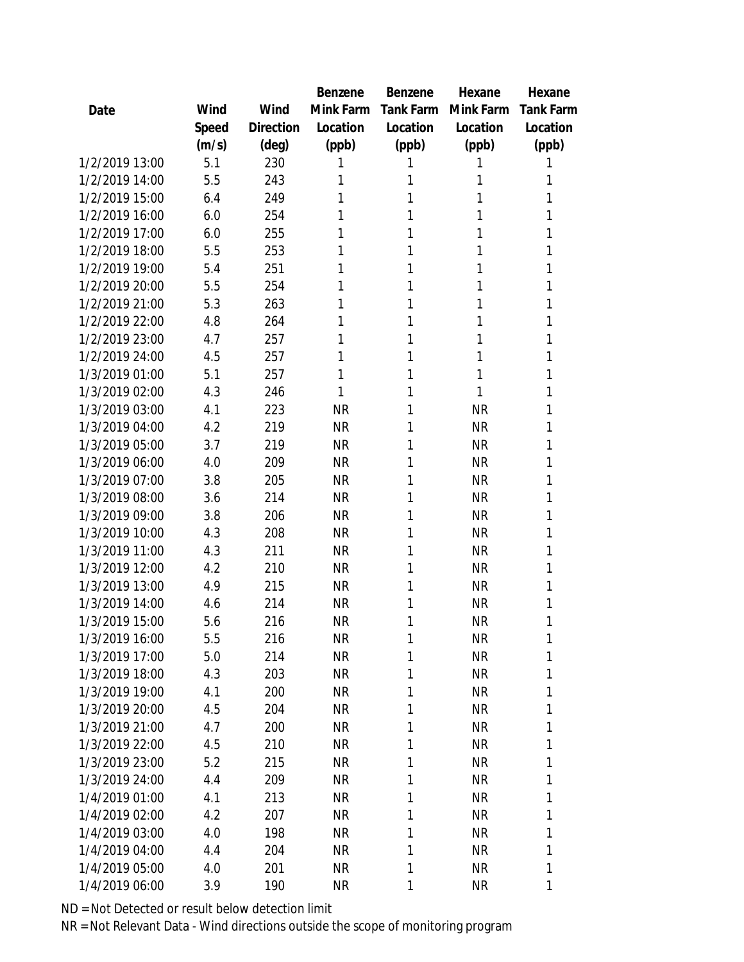|                |       |           | Benzene   | Benzene   | Hexane    | Hexane    |
|----------------|-------|-----------|-----------|-----------|-----------|-----------|
| Date           | Wind  | Wind      | Mink Farm | Tank Farm | Mink Farm | Tank Farm |
|                | Speed | Direction | Location  | Location  | Location  | Location  |
|                | (m/s) | (deg)     | (ppb)     | (ppb)     | (ppb)     | (ppb)     |
| 1/2/2019 13:00 | 5.1   | 230       | 1         | 1         | 1         | 1         |
| 1/2/2019 14:00 | 5.5   | 243       | 1         | 1         | 1         | 1         |
| 1/2/2019 15:00 | 6.4   | 249       | 1         | 1         | 1         | 1         |
| 1/2/2019 16:00 | 6.0   | 254       | 1         | 1         | 1         | 1         |
| 1/2/2019 17:00 | 6.0   | 255       | 1         | 1         | 1         | 1         |
| 1/2/2019 18:00 | 5.5   | 253       | 1         | 1         | 1         | 1         |
| 1/2/2019 19:00 | 5.4   | 251       | 1         | 1         | 1         | 1         |
| 1/2/2019 20:00 | 5.5   | 254       | 1         | 1         | 1         | 1         |
| 1/2/2019 21:00 | 5.3   | 263       | 1         | 1         | 1         | 1         |
| 1/2/2019 22:00 | 4.8   | 264       | 1         | 1         | 1         | 1         |
| 1/2/2019 23:00 | 4.7   | 257       | 1         | 1         | 1         | 1         |
| 1/2/2019 24:00 | 4.5   | 257       | 1         | 1         | 1         | 1         |
| 1/3/2019 01:00 | 5.1   | 257       | 1         | 1         | 1         | 1         |
| 1/3/2019 02:00 | 4.3   | 246       | 1         | 1         | 1         | 1         |
| 1/3/2019 03:00 | 4.1   | 223       | <b>NR</b> | 1         | <b>NR</b> | 1         |
| 1/3/2019 04:00 | 4.2   | 219       | <b>NR</b> | 1         | <b>NR</b> | 1         |
| 1/3/2019 05:00 | 3.7   | 219       | <b>NR</b> | 1         | <b>NR</b> | 1         |
| 1/3/2019 06:00 | 4.0   | 209       | <b>NR</b> | 1         | <b>NR</b> | 1         |
| 1/3/2019 07:00 | 3.8   | 205       | <b>NR</b> | 1         | <b>NR</b> | 1         |
| 1/3/2019 08:00 | 3.6   | 214       | <b>NR</b> | 1         | <b>NR</b> | 1         |
| 1/3/2019 09:00 | 3.8   | 206       | <b>NR</b> | 1         | <b>NR</b> | 1         |
| 1/3/2019 10:00 | 4.3   | 208       | <b>NR</b> | 1         | <b>NR</b> | 1         |
| 1/3/2019 11:00 | 4.3   | 211       | <b>NR</b> | 1         | <b>NR</b> | 1         |
| 1/3/2019 12:00 | 4.2   | 210       | <b>NR</b> | 1         | <b>NR</b> | 1         |
| 1/3/2019 13:00 | 4.9   | 215       | <b>NR</b> | 1         | <b>NR</b> | 1         |
| 1/3/2019 14:00 | 4.6   | 214       | <b>NR</b> | 1         | <b>NR</b> | 1         |
| 1/3/2019 15:00 | 5.6   | 216       | <b>NR</b> | 1         | <b>NR</b> | 1         |
| 1/3/2019 16:00 | 5.5   | 216       | <b>NR</b> | 1         | <b>NR</b> | 1         |
| 1/3/2019 17:00 | 5.0   | 214       | <b>NR</b> | 1         | <b>NR</b> | 1         |
| 1/3/2019 18:00 | 4.3   | 203       | <b>NR</b> | 1         | <b>NR</b> | 1         |
| 1/3/2019 19:00 | 4.1   | 200       | <b>NR</b> | 1         | <b>NR</b> | 1         |
| 1/3/2019 20:00 | 4.5   | 204       | <b>NR</b> | 1         | <b>NR</b> | 1         |
| 1/3/2019 21:00 | 4.7   | 200       | <b>NR</b> | 1         | <b>NR</b> | 1         |
| 1/3/2019 22:00 | 4.5   | 210       | <b>NR</b> | 1         | <b>NR</b> | 1         |
| 1/3/2019 23:00 | 5.2   | 215       | <b>NR</b> | 1         | <b>NR</b> | 1         |
| 1/3/2019 24:00 | 4.4   | 209       | <b>NR</b> | 1         | <b>NR</b> | 1         |
| 1/4/2019 01:00 | 4.1   | 213       | <b>NR</b> | 1         | <b>NR</b> | 1         |
| 1/4/2019 02:00 | 4.2   | 207       | <b>NR</b> | 1         | <b>NR</b> | 1         |
| 1/4/2019 03:00 | 4.0   | 198       | <b>NR</b> | 1         | <b>NR</b> | 1         |
| 1/4/2019 04:00 | 4.4   | 204       | NR        | 1         | <b>NR</b> | 1         |
| 1/4/2019 05:00 | 4.0   | 201       | <b>NR</b> | 1         | <b>NR</b> | 1         |
| 1/4/2019 06:00 | 3.9   | 190       | <b>NR</b> | 1         | ΝR        | 1         |
|                |       |           |           |           |           |           |